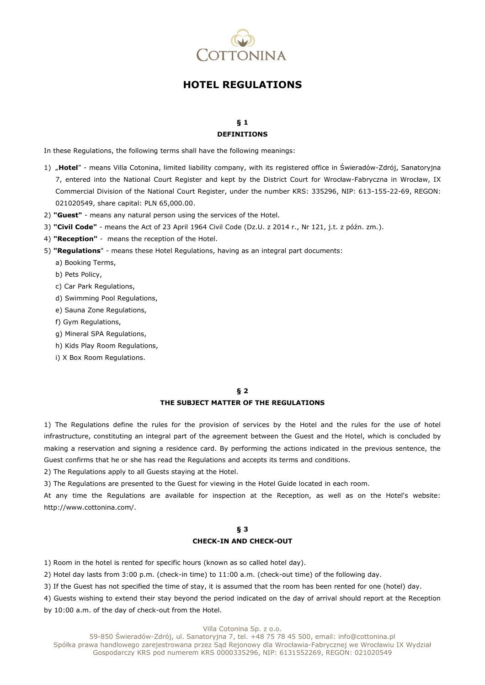

# **HOTEL REGULATIONS**

#### **§ 1 DEFINITIONS**

In these Regulations, the following terms shall have the following meanings:

- 1) "**Hotel**" means Villa Cotonina, limited liability company, with its registered office in Świeradów-Zdrój, Sanatoryjna 7, entered into the National Court Register and kept by the District Court for Wrocław-Fabryczna in Wrocław, IX Commercial Division of the National Court Register, under the number KRS: 335296, NIP: 613-155-22-69, REGON: 021020549, share capital: PLN 65,000.00.
- 2) **"Guest"** means any natural person using the services of the Hotel.
- 3) **"Civil Code"** means the Act of 23 April 1964 Civil Code (Dz.U. z 2014 r., Nr 121, j.t. z późn. zm.).
- 4) **"Reception"** means the reception of the Hotel.
- 5) **"Regulations**" means these Hotel Regulations, having as an integral part documents:
	- a) Booking Terms,
	- b) Pets Policy,
	- c) Car Park Regulations,
	- d) Swimming Pool Regulations,
	- e) Sauna Zone Regulations,
	- f) Gym Regulations,
	- g) Mineral SPA Regulations,
	- h) Kids Play Room Regulations,
	- i) X Box Room Regulations.

#### **§ 2**

#### **THE SUBJECT MATTER OF THE REGULATIONS**

1) The Regulations define the rules for the provision of services by the Hotel and the rules for the use of hotel infrastructure, constituting an integral part of the agreement between the Guest and the Hotel, which is concluded by making a reservation and signing a residence card. By performing the actions indicated in the previous sentence, the Guest confirms that he or she has read the Regulations and accepts its terms and conditions.

2) The Regulations apply to all Guests staying at the Hotel.

3) The Regulations are presented to the Guest for viewing in the Hotel Guide located in each room.

At any time the Regulations are available for inspection at the Reception, as well as on the Hotel's website: http://www.cottonina.com/.

### **§ 3 CHECK-IN AND CHECK-OUT**

1) Room in the hotel is rented for specific hours (known as so called hotel day).

2) Hotel day lasts from 3:00 p.m. (check-in time) to 11:00 a.m. (check-out time) of the following day.

3) If the Guest has not specified the time of stay, it is assumed that the room has been rented for one (hotel) day.

4) Guests wishing to extend their stay beyond the period indicated on the day of arrival should report at the Reception by 10:00 a.m. of the day of check-out from the Hotel.

Villa Cotonina Sp. z o.o.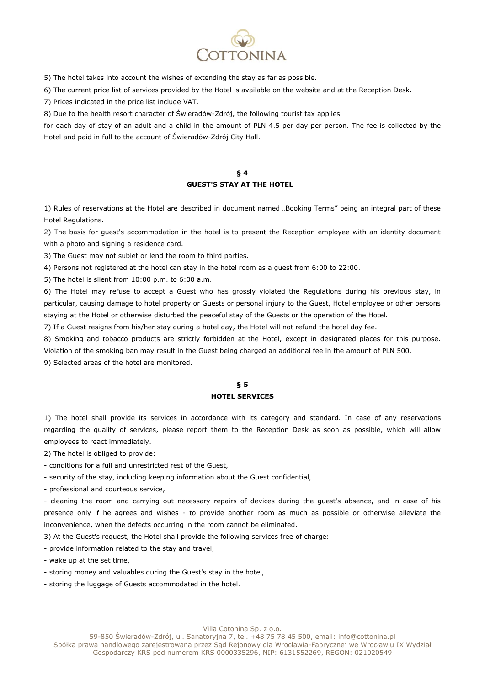

5) The hotel takes into account the wishes of extending the stay as far as possible.

6) The current price list of services provided by the Hotel is available on the website and at the Reception Desk.

7) Prices indicated in the price list include VAT.

8) Due to the health resort character of Świeradów-Zdrój, the following tourist tax applies

for each day of stay of an adult and a child in the amount of PLN 4.5 per day per person. The fee is collected by the Hotel and paid in full to the account of Świeradów-Zdrój City Hall.

## **§ 4 GUEST'S STAY AT THE HOTEL**

1) Rules of reservations at the Hotel are described in document named "Booking Terms" being an integral part of these Hotel Regulations.

2) The basis for guest's accommodation in the hotel is to present the Reception employee with an identity document with a photo and signing a residence card.

3) The Guest may not sublet or lend the room to third parties.

4) Persons not registered at the hotel can stay in the hotel room as a guest from 6:00 to 22:00.

5) The hotel is silent from 10:00 p.m. to 6:00 a.m.

6) The Hotel may refuse to accept a Guest who has grossly violated the Regulations during his previous stay, in particular, causing damage to hotel property or Guests or personal injury to the Guest, Hotel employee or other persons staying at the Hotel or otherwise disturbed the peaceful stay of the Guests or the operation of the Hotel.

7) If a Guest resigns from his/her stay during a hotel day, the Hotel will not refund the hotel day fee.

8) Smoking and tobacco products are strictly forbidden at the Hotel, except in designated places for this purpose. Violation of the smoking ban may result in the Guest being charged an additional fee in the amount of PLN 500.

9) Selected areas of the hotel are monitored.

#### **§ 5 HOTEL SERVICES**

1) The hotel shall provide its services in accordance with its category and standard. In case of any reservations regarding the quality of services, please report them to the Reception Desk as soon as possible, which will allow employees to react immediately.

2) The hotel is obliged to provide:

- conditions for a full and unrestricted rest of the Guest,

- security of the stay, including keeping information about the Guest confidential,

- professional and courteous service,

- cleaning the room and carrying out necessary repairs of devices during the guest's absence, and in case of his presence only if he agrees and wishes - to provide another room as much as possible or otherwise alleviate the inconvenience, when the defects occurring in the room cannot be eliminated.

3) At the Guest's request, the Hotel shall provide the following services free of charge:

- provide information related to the stay and travel,

- wake up at the set time,

- storing money and valuables during the Guest's stay in the hotel,

- storing the luggage of Guests accommodated in the hotel.

Villa Cotonina Sp. z o.o.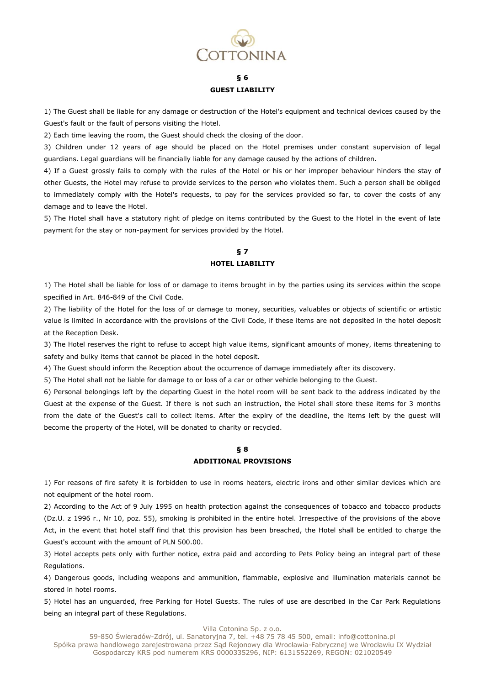

# **§ 6 GUEST LIABILITY**

1) The Guest shall be liable for any damage or destruction of the Hotel's equipment and technical devices caused by the Guest's fault or the fault of persons visiting the Hotel.

2) Each time leaving the room, the Guest should check the closing of the door.

3) Children under 12 years of age should be placed on the Hotel premises under constant supervision of legal guardians. Legal guardians will be financially liable for any damage caused by the actions of children.

4) If a Guest grossly fails to comply with the rules of the Hotel or his or her improper behaviour hinders the stay of other Guests, the Hotel may refuse to provide services to the person who violates them. Such a person shall be obliged to immediately comply with the Hotel's requests, to pay for the services provided so far, to cover the costs of any damage and to leave the Hotel.

5) The Hotel shall have a statutory right of pledge on items contributed by the Guest to the Hotel in the event of late payment for the stay or non-payment for services provided by the Hotel.

# **§ 7 HOTEL LIABILITY**

1) The Hotel shall be liable for loss of or damage to items brought in by the parties using its services within the scope specified in Art. 846-849 of the Civil Code.

2) The liability of the Hotel for the loss of or damage to money, securities, valuables or objects of scientific or artistic value is limited in accordance with the provisions of the Civil Code, if these items are not deposited in the hotel deposit at the Reception Desk.

3) The Hotel reserves the right to refuse to accept high value items, significant amounts of money, items threatening to safety and bulky items that cannot be placed in the hotel deposit.

4) The Guest should inform the Reception about the occurrence of damage immediately after its discovery.

5) The Hotel shall not be liable for damage to or loss of a car or other vehicle belonging to the Guest.

6) Personal belongings left by the departing Guest in the hotel room will be sent back to the address indicated by the Guest at the expense of the Guest. If there is not such an instruction, the Hotel shall store these items for 3 months from the date of the Guest's call to collect items. After the expiry of the deadline, the items left by the guest will become the property of the Hotel, will be donated to charity or recycled.

#### **§ 8 ADDITIONAL PROVISIONS**

1) For reasons of fire safety it is forbidden to use in rooms heaters, electric irons and other similar devices which are not equipment of the hotel room.

2) According to the Act of 9 July 1995 on health protection against the consequences of tobacco and tobacco products (Dz.U. z 1996 r., Nr 10, poz. 55), smoking is prohibited in the entire hotel. Irrespective of the provisions of the above Act, in the event that hotel staff find that this provision has been breached, the Hotel shall be entitled to charge the Guest's account with the amount of PLN 500.00.

3) Hotel accepts pets only with further notice, extra paid and according to Pets Policy being an integral part of these Regulations.

4) Dangerous goods, including weapons and ammunition, flammable, explosive and illumination materials cannot be stored in hotel rooms.

5) Hotel has an unguarded, free Parking for Hotel Guests. The rules of use are described in the Car Park Regulations being an integral part of these Regulations.

Villa Cotonina Sp. z o.o.